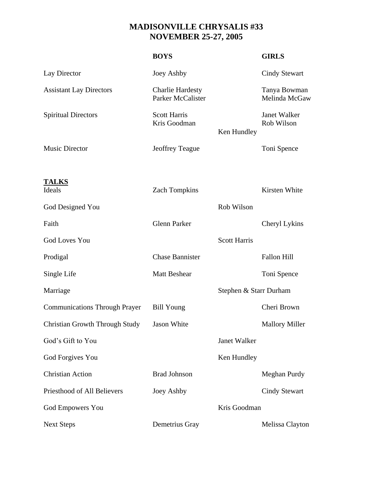## **MADISONVILLE CHRYSALIS #33 NOVEMBER 25-27, 2005**

|                                       | <b>BOYS</b>                                  |                        | <b>GIRLS</b>                  |
|---------------------------------------|----------------------------------------------|------------------------|-------------------------------|
| Lay Director                          | Joey Ashby                                   |                        | <b>Cindy Stewart</b>          |
| <b>Assistant Lay Directors</b>        | <b>Charlie Hardesty</b><br>Parker McCalister |                        | Tanya Bowman<br>Melinda McGaw |
| <b>Spiritual Directors</b>            | <b>Scott Harris</b><br>Kris Goodman          | Ken Hundley            | Janet Walker<br>Rob Wilson    |
| <b>Music Director</b>                 | <b>Jeoffrey Teague</b>                       |                        | Toni Spence                   |
| <b>TALKS</b><br>Ideals                | <b>Zach Tompkins</b>                         |                        | Kirsten White                 |
| God Designed You                      |                                              | Rob Wilson             |                               |
| Faith                                 | <b>Glenn Parker</b>                          |                        | Cheryl Lykins                 |
| <b>God Loves You</b>                  |                                              | <b>Scott Harris</b>    |                               |
| Prodigal                              | <b>Chase Bannister</b>                       |                        | <b>Fallon Hill</b>            |
| Single Life                           | <b>Matt Beshear</b>                          |                        | Toni Spence                   |
| Marriage                              |                                              | Stephen & Starr Durham |                               |
| <b>Communications Through Prayer</b>  | <b>Bill Young</b>                            |                        | Cheri Brown                   |
| <b>Christian Growth Through Study</b> | Jason White                                  |                        | <b>Mallory Miller</b>         |
| God's Gift to You                     |                                              | Janet Walker           |                               |
| God Forgives You                      |                                              | Ken Hundley            |                               |
| <b>Christian Action</b>               | <b>Brad Johnson</b>                          |                        | Meghan Purdy                  |
| Priesthood of All Believers           | Joey Ashby                                   |                        | <b>Cindy Stewart</b>          |
| God Empowers You                      |                                              | Kris Goodman           |                               |
| <b>Next Steps</b>                     | Demetrius Gray                               |                        | Melissa Clayton               |